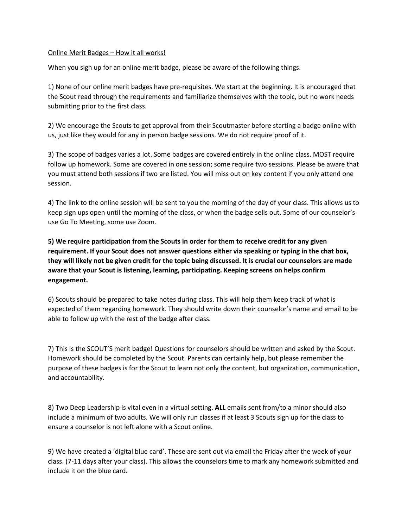## Online Merit Badges – How it all works!

When you sign up for an online merit badge, please be aware of the following things.

1) None of our online merit badges have pre-requisites. We start at the beginning. It is encouraged that the Scout read through the requirements and familiarize themselves with the topic, but no work needs submitting prior to the first class.

2) We encourage the Scouts to get approval from their Scoutmaster before starting a badge online with us, just like they would for any in person badge sessions. We do not require proof of it.

3) The scope of badges varies a lot. Some badges are covered entirely in the online class. MOST require follow up homework. Some are covered in one session; some require two sessions. Please be aware that you must attend both sessions if two are listed. You will miss out on key content if you only attend one session.

4) The link to the online session will be sent to you the morning of the day of your class. This allows us to keep sign ups open until the morning of the class, or when the badge sells out. Some of our counselor's use Go To Meeting, some use Zoom.

**5) We require participation from the Scouts in order for them to receive credit for any given requirement. If your Scout does not answer questions either via speaking or typing in the chat box, they will likely not be given credit for the topic being discussed. It is crucial our counselors are made aware that your Scout is listening, learning, participating. Keeping screens on helps confirm engagement.** 

6) Scouts should be prepared to take notes during class. This will help them keep track of what is expected of them regarding homework. They should write down their counselor's name and email to be able to follow up with the rest of the badge after class.

7) This is the SCOUT'S merit badge! Questions for counselors should be written and asked by the Scout. Homework should be completed by the Scout. Parents can certainly help, but please remember the purpose of these badges is for the Scout to learn not only the content, but organization, communication, and accountability.

8) Two Deep Leadership is vital even in a virtual setting. **ALL** emails sent from/to a minor should also include a minimum of two adults. We will only run classes if at least 3 Scouts sign up for the class to ensure a counselor is not left alone with a Scout online.

9) We have created a 'digital blue card'. These are sent out via email the Friday after the week of your class. (7-11 days after your class). This allows the counselors time to mark any homework submitted and include it on the blue card.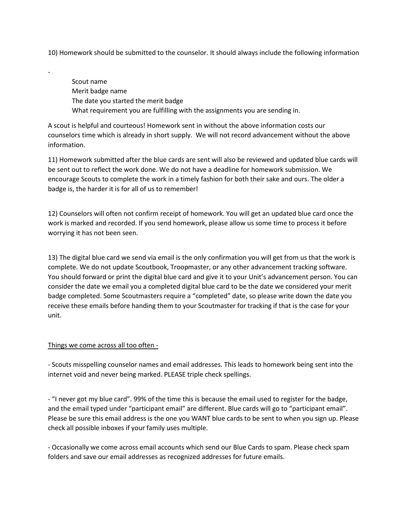10) Homework should be submitted to the counselor. It should always include the following information

Scout name Merit badge name The date you started the merit badge What requirement you are fulfilling with the assignments you are sending in.

A scout is helpful and courteous! Homework sent in without the above information costs our counselors time which is already in short supply. We will not record advancement without the above information.

11) Homework submitted after the blue cards are sent will also be reviewed and updated blue cards will be sent out to reflect the work done. We do not have a deadline for homework submission. We encourage Scouts to complete the work in a timely fashion for both their sake and ours. The older a badge is, the harder it is for all of us to remember!

12) Counselors will often not confirm receipt of homework. You will get an updated blue card once the work is marked and recorded. If you send homework, please allow us some time to process it before worrying it has not been seen.

13) The digital blue card we send via email is the only confirmation you will get from us that the work is complete. We do not update Scoutbook, Troopmaster, or any other advancement tracking software. You should forward or print the digital blue card and give it to your Unit's advancement person. You can consider the date we email you a completed digital blue card to be the date we considered your merit badge completed. Some Scoutmasters require a "completed" date, so please write down the date you receive these emails before handing them to your Scoutmaster for tracking if that is the case for your unit.

## Things we come across all too often -

-

- Scouts misspelling counselor names and email addresses. This leads to homework being sent into the internet void and never being marked. PLEASE triple check spellings.

- "I never got my blue card". 99% of the time this is because the email used to register for the badge, and the email typed under "participant email" are different. Blue cards will go to "participant email". Please be sure this email address is the one you WANT blue cards to be sent to when you sign up. Please check all possible inboxes if your family uses multiple.

- Occasionally we come across email accounts which send our Blue Cards to spam. Please check spam folders and save our email addresses as recognized addresses for future emails.